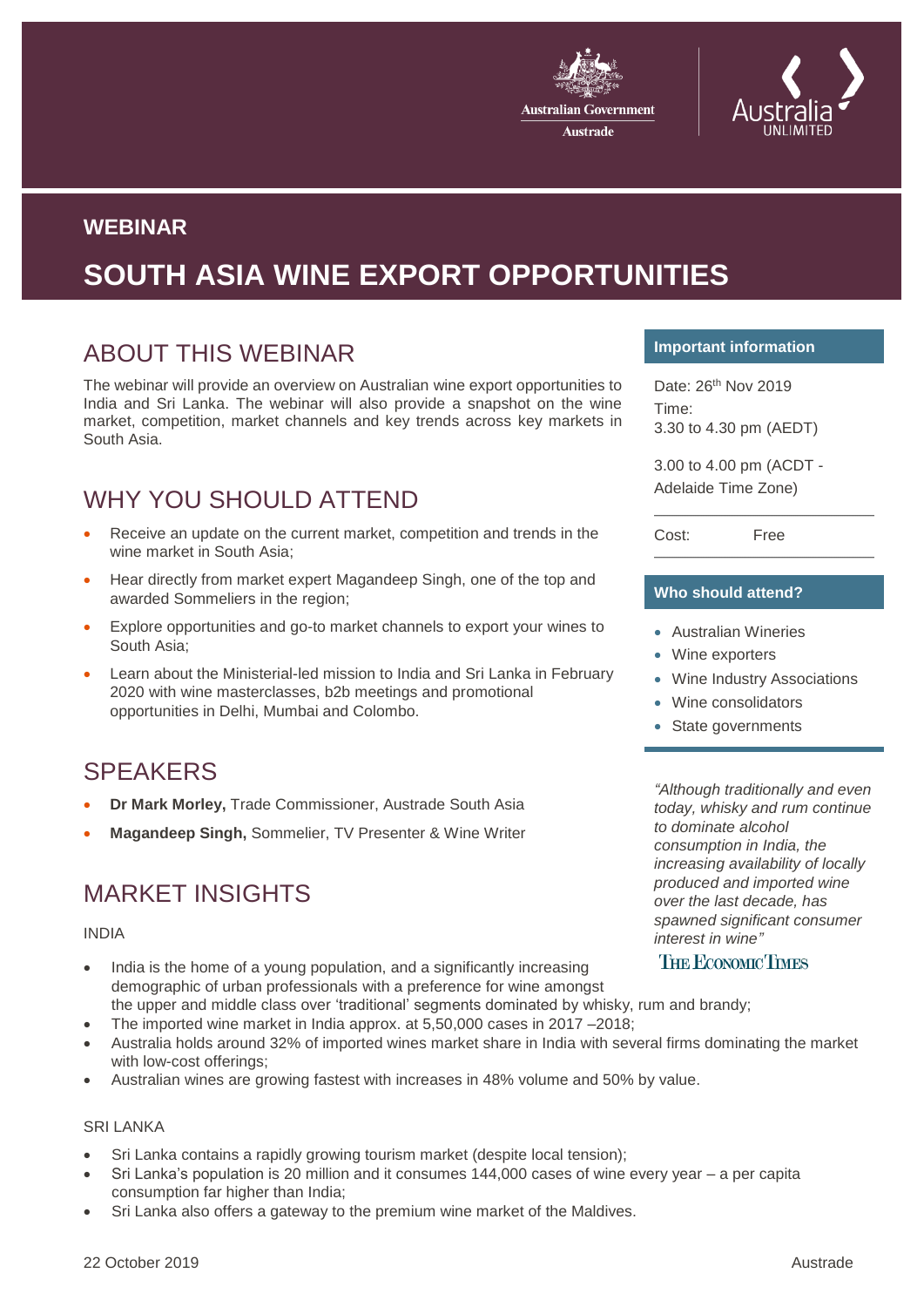



### **WEBINAR**

# **SOUTH ASIA WINE EXPORT OPPORTUNITIES**

# ABOUT THIS WEBINAR

The webinar will provide an overview on Australian wine export opportunities to India and Sri Lanka. The webinar will also provide a snapshot on the wine market, competition, market channels and key trends across key markets in South Asia.

# WHY YOU SHOULD ATTEND

- Receive an update on the current market, competition and trends in the wine market in South Asia;
- Hear directly from market expert Magandeep Singh, one of the top and awarded Sommeliers in the region;
- Explore opportunities and go-to market channels to export your wines to South Asia;
- Learn about the Ministerial-led mission to India and Sri Lanka in February 2020 with wine masterclasses, b2b meetings and promotional opportunities in Delhi, Mumbai and Colombo.

# SPEAKERS

- **Dr Mark Morley,** Trade Commissioner, Austrade South Asia
- **Magandeep Singh,** Sommelier, TV Presenter & Wine Writer

# MARKET INSIGHTS

### INDIA

- India is the home of a young population, and a significantly increasing demographic of urban professionals with a preference for wine amongst the upper and middle class over 'traditional' segments dominated by whisky, rum and brandy;
- The imported wine market in India approx. at 5,50,000 cases in 2017 –2018;
- Australia holds around 32% of imported wines market share in India with several firms dominating the market with low-cost offerings;
- Australian wines are growing fastest with increases in 48% volume and 50% by value.

### SRI LANKA

- Sri Lanka contains a rapidly growing tourism market (despite local tension);
- Sri Lanka's population is 20 million and it consumes 144,000 cases of wine every year a per capita consumption far higher than India;
- Sri Lanka also offers a gateway to the premium wine market of the Maldives.

### **Important information**

Date: 26th Nov 2019 Time: 3.30 to 4.30 pm (AEDT)

3.00 to 4.00 pm (ACDT - Adelaide Time Zone)

Cost: Free

### **Who should attend?**

- Australian Wineries
- Wine exporters
- Wine Industry Associations
- Wine consolidators
- State governments

*"Although traditionally and even today, whisky and rum continue to dominate alcohol consumption in India, the increasing availability of locally produced and imported wine over the last decade, has spawned significant consumer interest in wine"* 

### **THE ECONOMIC TIMES**